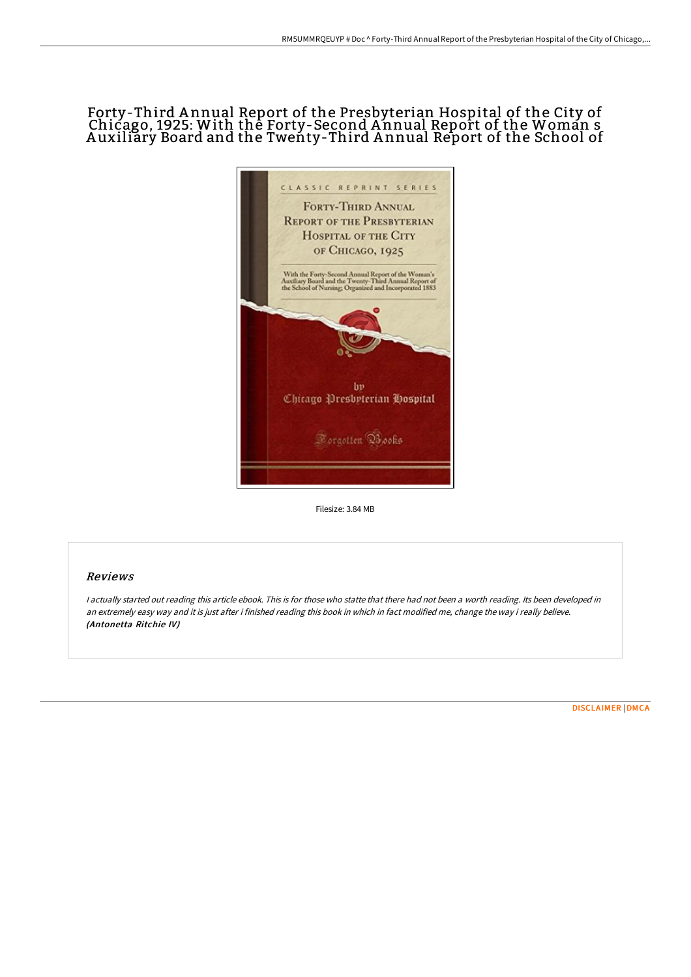# Forty-Third A nnual Report of the Presbyterian Hospital of the City of Chicago, 1925: With the Forty-Second A nnual Report of the Woman s A uxiliary Board and the Twenty-Third A nnual Report of the School of



Filesize: 3.84 MB

### Reviews

<sup>I</sup> actually started out reading this article ebook. This is for those who statte that there had not been <sup>a</sup> worth reading. Its been developed in an extremely easy way and it is just after i finished reading this book in which in fact modified me, change the way i really believe. (Antonetta Ritchie IV)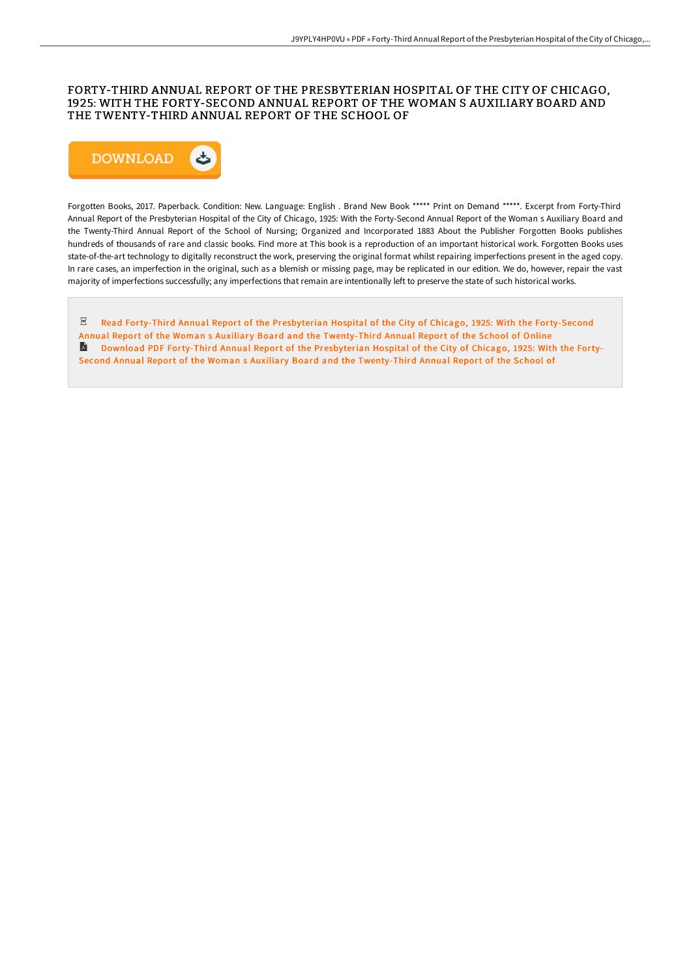### FORTY-THIRD ANNUAL REPORT OF THE PRESBYTERIAN HOSPITAL OF THE CITY OF CHICAGO, 1925: WITH THE FORTY-SECOND ANNUAL REPORT OF THE WOMAN S AUXILIARY BOARD AND THE TWENTY-THIRD ANNUAL REPORT OF THE SCHOOL OF



Forgotten Books, 2017. Paperback. Condition: New. Language: English . Brand New Book \*\*\*\*\* Print on Demand \*\*\*\*\*. Excerpt from Forty-Third Annual Report of the Presbyterian Hospital of the City of Chicago, 1925: With the Forty-Second Annual Report of the Woman s Auxiliary Board and the Twenty-Third Annual Report of the School of Nursing; Organized and Incorporated 1883 About the Publisher Forgotten Books publishes hundreds of thousands of rare and classic books. Find more at This book is a reproduction of an important historical work. Forgotten Books uses state-of-the-art technology to digitally reconstruct the work, preserving the original format whilst repairing imperfections present in the aged copy. In rare cases, an imperfection in the original, such as a blemish or missing page, may be replicated in our edition. We do, however, repair the vast majority of imperfections successfully; any imperfections that remain are intentionally left to preserve the state of such historical works.

 $_{\rm per}$ Read Forty-Third Annual Report of the Presbyterian Hospital of the City of Chicago, 1925: With the [Forty-Second](http://albedo.media/forty-third-annual-report-of-the-presbyterian-ho.html) Annual Report of the Woman s Auxiliary Board and the Twenty-Third Annual Report of the School of Online Download PDF Forty-Third Annual Report of the Presbyterian Hospital of the City of Chicago, 1925: With the Forty-Second Annual Report of the Woman s Auxiliary Board and the [Twenty-Third](http://albedo.media/forty-third-annual-report-of-the-presbyterian-ho.html) Annual Report of the School of